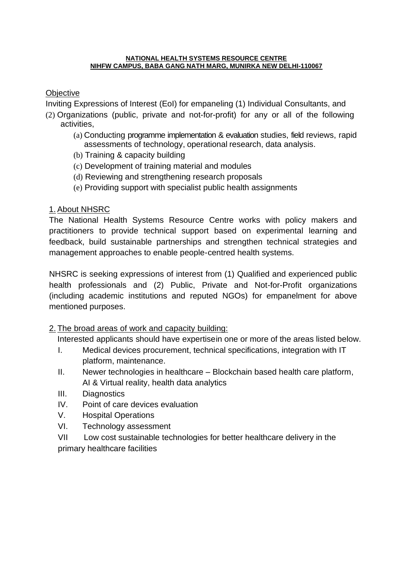#### **NATIONAL HEALTH SYSTEMS RESOURCE CENTRE NIHFW CAMPUS, BABA GANG NATH MARG, MUNIRKA NEW DELHI-110067**

### **Objective**

Inviting Expressions of Interest (EoI) for empaneling (1) Individual Consultants, and

- (2) Organizations (public, private and not-for-profit) for any or all of the following activities,
	- (a) Conducting programme implementation & evaluation studies, field reviews, rapid assessments of technology, operational research, data analysis.
	- (b) Training & capacity building
	- (c) Development of training material and modules
	- (d) Reviewing and strengthening research proposals
	- (e) Providing support with specialist public health assignments

# 1. About NHSRC

The National Health Systems Resource Centre works with policy makers and practitioners to provide technical support based on experimental learning and feedback, build sustainable partnerships and strengthen technical strategies and management approaches to enable people-centred health systems.

NHSRC is seeking expressions of interest from (1) Qualified and experienced public health professionals and (2) Public, Private and Not-for-Profit organizations (including academic institutions and reputed NGOs) for empanelment for above mentioned purposes.

### 2. The broad areas of work and capacity building:

Interested applicants should have expertisein one or more of the areas listed below.

- I. Medical devices procurement, technical specifications, integration with IT platform, maintenance.
- II. Newer technologies in healthcare Blockchain based health care platform, AI & Virtual reality, health data analytics
- III. Diagnostics
- IV. Point of care devices evaluation
- V. Hospital Operations
- VI. Technology assessment
- VII Low cost sustainable technologies for better healthcare delivery in the primary healthcare facilities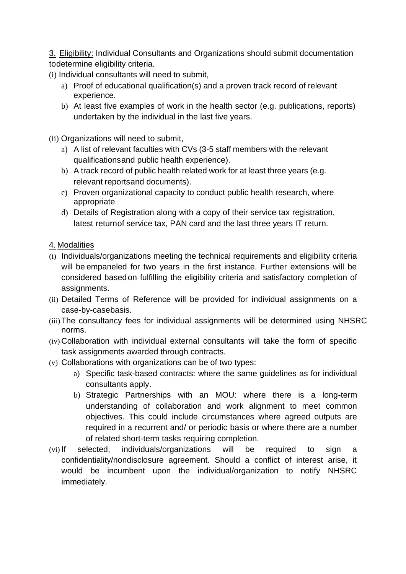3. Eligibility: Individual Consultants and Organizations should submit documentation todetermine eligibility criteria.

- (i) Individual consultants will need to submit,
	- a) Proof of educational qualification(s) and a proven track record of relevant experience.
	- b) At least five examples of work in the health sector (e.g. publications, reports) undertaken by the individual in the last five years.

(ii) Organizations will need to submit,

- a) A list of relevant faculties with CVs (3-5 staff members with the relevant qualificationsand public health experience).
- b) A track record of public health related work for at least three years (e.g. relevant reportsand documents).
- c) Proven organizational capacity to conduct public health research, where appropriate
- d) Details of Registration along with a copy of their service tax registration, latest returnof service tax, PAN card and the last three years IT return.

### 4. Modalities

- (i) Individuals/organizations meeting the technical requirements and eligibility criteria will be empaneled for two years in the first instance. Further extensions will be considered based on fulfilling the eligibility criteria and satisfactory completion of assignments.
- (ii) Detailed Terms of Reference will be provided for individual assignments on a case-by-casebasis.
- (iii)The consultancy fees for individual assignments will be determined using NHSRC norms.
- (iv) Collaboration with individual external consultants will take the form of specific task assignments awarded through contracts.
- (v) Collaborations with organizations can be of two types:
	- a) Specific task-based contracts: where the same guidelines as for individual consultants apply.
	- b) Strategic Partnerships with an MOU: where there is a long-term understanding of collaboration and work alignment to meet common objectives. This could include circumstances where agreed outputs are required in a recurrent and/ or periodic basis or where there are a number of related short-term tasks requiring completion.
- (vi) If selected, individuals/organizations will be required to sign a confidentiality/nondisclosure agreement. Should a conflict of interest arise, it would be incumbent upon the individual/organization to notify NHSRC immediately.